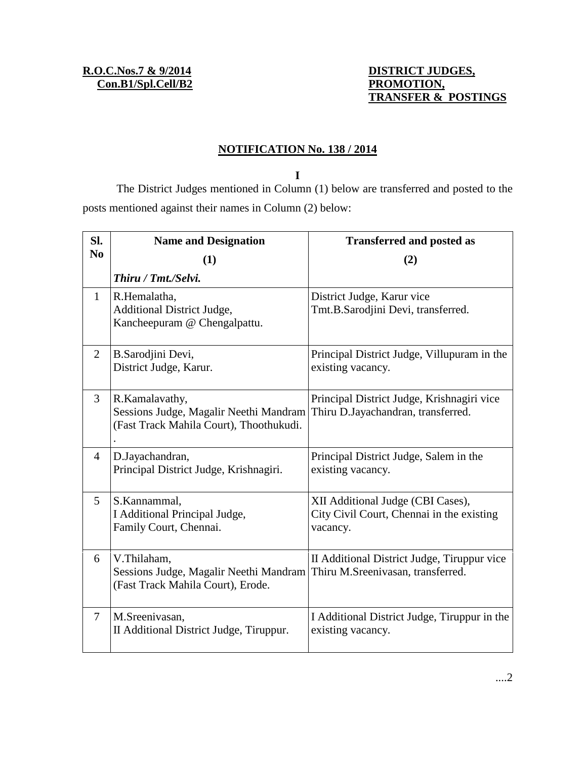## **TRANSFER & POSTINGS**

## **NOTIFICATION No. 138 / 2014**

**I**

The District Judges mentioned in Column (1) below are transferred and posted to the posts mentioned against their names in Column (2) below:

| Sl.<br>N <sub>0</sub> | <b>Name and Designation</b>                                                                         | <b>Transferred and posted as</b>                                                           |
|-----------------------|-----------------------------------------------------------------------------------------------------|--------------------------------------------------------------------------------------------|
|                       | (1)                                                                                                 | (2)                                                                                        |
|                       | Thiru / Tmt./Selvi.                                                                                 |                                                                                            |
| $\mathbf{1}$          | R.Hemalatha,<br>Additional District Judge,<br>Kancheepuram @ Chengalpattu.                          | District Judge, Karur vice<br>Tmt.B.Sarodjini Devi, transferred.                           |
| 2                     | B.Sarodjini Devi,<br>District Judge, Karur.                                                         | Principal District Judge, Villupuram in the<br>existing vacancy.                           |
| 3                     | R.Kamalavathy,<br>Sessions Judge, Magalir Neethi Mandram<br>(Fast Track Mahila Court), Thoothukudi. | Principal District Judge, Krishnagiri vice<br>Thiru D.Jayachandran, transferred.           |
| 4                     | D.Jayachandran,<br>Principal District Judge, Krishnagiri.                                           | Principal District Judge, Salem in the<br>existing vacancy.                                |
| 5                     | S.Kannammal,<br>I Additional Principal Judge,<br>Family Court, Chennai.                             | XII Additional Judge (CBI Cases),<br>City Civil Court, Chennai in the existing<br>vacancy. |
| 6                     | V.Thilaham,<br>Sessions Judge, Magalir Neethi Mandram<br>(Fast Track Mahila Court), Erode.          | II Additional District Judge, Tiruppur vice<br>Thiru M.Sreenivasan, transferred.           |
| $\tau$                | M.Sreenivasan,<br>II Additional District Judge, Tiruppur.                                           | I Additional District Judge, Tiruppur in the<br>existing vacancy.                          |